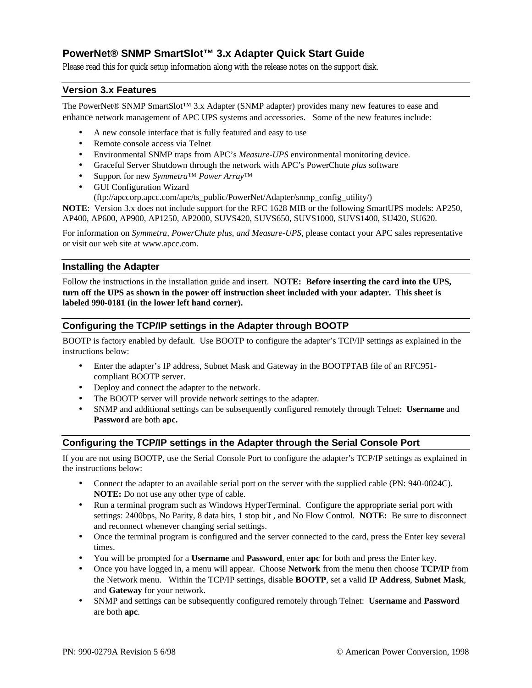# **PowerNet® SNMP SmartSlot™ 3.x Adapter Quick Start Guide**

Please read this for quick setup information along with the release notes on the support disk.

### **Version 3.x Features**

The PowerNet® SNMP SmartSlot™ 3.x Adapter (SNMP adapter) provides many new features to ease and enhance network management of APC UPS systems and accessories. Some of the new features include:

- A new console interface that is fully featured and easy to use
- Remote console access via Telnet
- Environmental SNMP traps from APC's *Measure-UPS* environmental monitoring device.
- Graceful Server Shutdown through the network with APC's PowerChute *plus* software
- Support for new *Symmetra*™ *Power Array*™
- GUI Configuration Wizard
	- (ftp://apccorp.apcc.com/apc/ts\_public/PowerNet/Adapter/snmp\_config\_utility/)

**NOTE**: Version 3.x does not include support for the RFC 1628 MIB or the following SmartUPS models: AP250, AP400, AP600, AP900, AP1250, AP2000, SUVS420, SUVS650, SUVS1000, SUVS1400, SU420, SU620.

For information on *Symmetra, PowerChute plus, and Measure-UPS,* please contact your APC sales representative or visit our web site at www.apcc.com.

#### **Installing the Adapter**

Follow the instructions in the installation guide and insert. **NOTE: Before inserting the card into the UPS, turn off the UPS as shown in the power off instruction sheet included with your adapter. This sheet is labeled 990-0181 (in the lower left hand corner).**

### **Configuring the TCP/IP settings in the Adapter through BOOTP**

BOOTP is factory enabled by default. Use BOOTP to configure the adapter's TCP/IP settings as explained in the instructions below:

- Enter the adapter's IP address, Subnet Mask and Gateway in the BOOTPTAB file of an RFC951 compliant BOOTP server.
- Deploy and connect the adapter to the network.
- The BOOTP server will provide network settings to the adapter.
- SNMP and additional settings can be subsequently configured remotely through Telnet: **Username** and **Password** are both **apc.**

### **Configuring the TCP/IP settings in the Adapter through the Serial Console Port**

If you are not using BOOTP, use the Serial Console Port to configure the adapter's TCP/IP settings as explained in the instructions below:

- Connect the adapter to an available serial port on the server with the supplied cable (PN: 940-0024C). **NOTE:** Do not use any other type of cable.
- Run a terminal program such as Windows HyperTerminal. Configure the appropriate serial port with settings: 2400bps, No Parity, 8 data bits, 1 stop bit , and No Flow Control. **NOTE:** Be sure to disconnect and reconnect whenever changing serial settings.
- Once the terminal program is configured and the server connected to the card, press the Enter key several times.
- You will be prompted for a **Username** and **Password**, enter **apc** for both and press the Enter key.
- Once you have logged in, a menu will appear. Choose **Network** from the menu then choose **TCP/IP** from the Network menu. Within the TCP/IP settings, disable **BOOTP**, set a valid **IP Address**, **Subnet Mask**, and **Gateway** for your network.
- SNMP and settings can be subsequently configured remotely through Telnet: **Username** and **Password** are both **apc**.